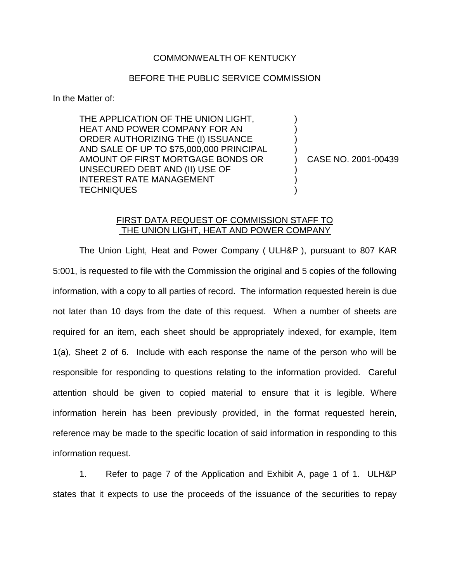## COMMONWEALTH OF KENTUCKY

## BEFORE THE PUBLIC SERVICE COMMISSION

In the Matter of:

THE APPLICATION OF THE UNION LIGHT, HEAT AND POWER COMPANY FOR AN ORDER AUTHORIZING THE (I) ISSUANCE AND SALE OF UP TO \$75,000,000 PRINCIPAL AMOUNT OF FIRST MORTGAGE BONDS OR UNSECURED DEBT AND (II) USE OF INTEREST RATE MANAGEMENT **TECHNIQUES** 

) CASE NO. 2001-00439

) ) ) )

) ) )

## FIRST DATA REQUEST OF COMMISSION STAFF TO THE UNION LIGHT, HEAT AND POWER COMPANY

The Union Light, Heat and Power Company ( ULH&P ), pursuant to 807 KAR 5:001, is requested to file with the Commission the original and 5 copies of the following information, with a copy to all parties of record. The information requested herein is due not later than 10 days from the date of this request. When a number of sheets are required for an item, each sheet should be appropriately indexed, for example, Item 1(a), Sheet 2 of 6. Include with each response the name of the person who will be responsible for responding to questions relating to the information provided. Careful attention should be given to copied material to ensure that it is legible. Where information herein has been previously provided, in the format requested herein, reference may be made to the specific location of said information in responding to this information request.

1. Refer to page 7 of the Application and Exhibit A, page 1 of 1. ULH&P states that it expects to use the proceeds of the issuance of the securities to repay